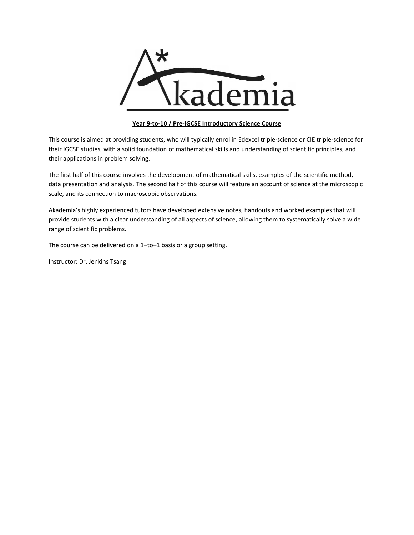

# **Year 9-to-10 / Pre-IGCSE Introductory Science Course**

This course is aimed at providing students, who will typically enrol in Edexcel triple-science or CIE triple-science for their IGCSE studies, with a solid foundation of mathematical skills and understanding of scientific principles, and their applications in problem solving.

The first half of this course involves the development of mathematical skills, examples of the scientific method, data presentation and analysis. The second half of this course will feature an account of science at the microscopic scale, and its connection to macroscopic observations.

Akademia's highly experienced tutors have developed extensive notes, handouts and worked examples that will provide students with a clear understanding of all aspects of science, allowing them to systematically solve a wide range of scientific problems.

The course can be delivered on a 1–to–1 basis or a group setting.

Instructor: Dr. Jenkins Tsang